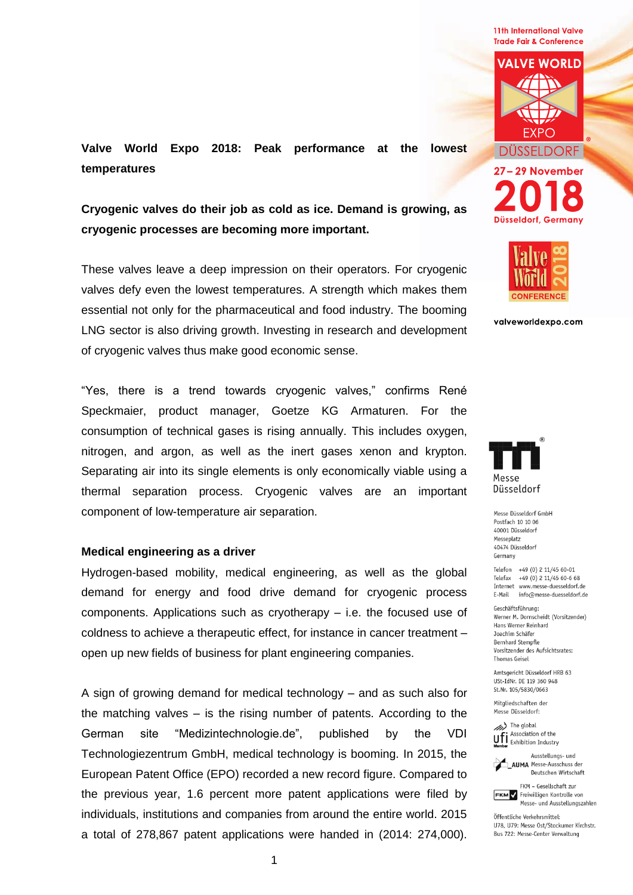**11th International Valve Trade Fair & Conference** 



**Valve World Expo 2018: Peak performance at the lowest temperatures**

**Cryogenic valves do their job as cold as ice. Demand is growing, as cryogenic processes are becoming more important.**

These valves leave a deep impression on their operators. For cryogenic valves defy even the lowest temperatures. A strength which makes them essential not only for the pharmaceutical and food industry. The booming LNG sector is also driving growth. Investing in research and development of cryogenic valves thus make good economic sense.

"Yes, there is a trend towards cryogenic valves," confirms René Speckmaier, product manager, Goetze KG Armaturen. For the consumption of technical gases is rising annually. This includes oxygen, nitrogen, and argon, as well as the inert gases xenon and krypton. Separating air into its single elements is only economically viable using a thermal separation process. Cryogenic valves are an important component of low-temperature air separation.

## **Medical engineering as a driver**

Hydrogen-based mobility, medical engineering, as well as the global demand for energy and food drive demand for cryogenic process components. Applications such as cryotherapy – i.e. the focused use of coldness to achieve a therapeutic effect, for instance in cancer treatment – open up new fields of business for plant engineering companies.

A sign of growing demand for medical technology – and as such also for the matching valves – is the rising number of patents. According to the German site "Medizintechnologie.de", published by the VDI Technologiezentrum GmbH, medical technology is booming. In 2015, the European Patent Office (EPO) recorded a new record figure. Compared to the previous year, 1.6 percent more patent applications were filed by individuals, institutions and companies from around the entire world. 2015 a total of 278,867 patent applications were handed in (2014: 274,000).



Düsseldorf, Germany

valveworldexpo.com



Messe Düsseldorf GmbH Postfach 10 10 06 40001 Düsseldorf Messenlatz 40474 Düsseldorf Germany

Telefon +49 (0) 2 11/45 60-01 Telefax +49 (0) 2 11/45 60-6 68 Internet www.messe-duesseldorf.de E-Mail info@messe-duesseldorf.de

Geschäftsführung: Werner M. Dornscheidt (Vorsitzender) Hans Werner Reinhard Joachim Schäfer Bernhard Stempfle Vorsitzender des Aufsichtsrates: Thomas Geisel

Amtsgericht Düsseldorf HRB 63 USt-IdNr. DE 119 360 948 St.Nr. 105/5830/0663

Mitaliedschaften der Messe Düsseldorf:

(b) The global Ufi Association of the



**AUMA** Messe-Ausschuss der Deutschen Wirtschaft

FKM - Gesellschaft zur **FKM** Freiwilligen Kontrolle von Messe- und Ausstellungszahlen

Öffentliche Verkehrsmittel: 1178 1179 Messe Ost/Stockumer Kirchstr Bus 722: Messe-Center Verwaltung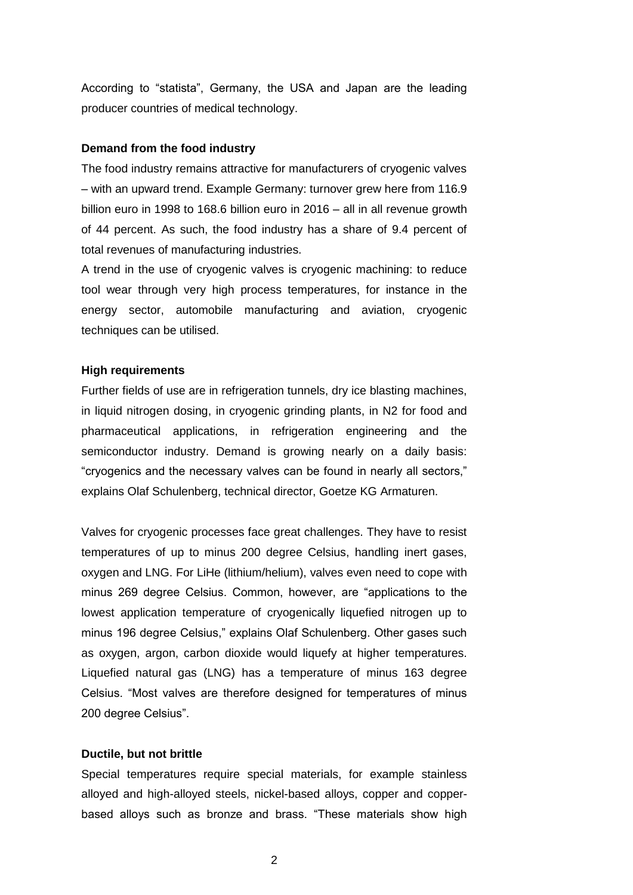According to "statista", Germany, the USA and Japan are the leading producer countries of medical technology.

## **Demand from the food industry**

The food industry remains attractive for manufacturers of cryogenic valves – with an upward trend. Example Germany: turnover grew here from 116.9 billion euro in 1998 to 168.6 billion euro in 2016 – all in all revenue growth of 44 percent. As such, the food industry has a share of 9.4 percent of total revenues of manufacturing industries.

A trend in the use of cryogenic valves is cryogenic machining: to reduce tool wear through very high process temperatures, for instance in the energy sector, automobile manufacturing and aviation, cryogenic techniques can be utilised.

# **High requirements**

Further fields of use are in refrigeration tunnels, dry ice blasting machines, in liquid nitrogen dosing, in cryogenic grinding plants, in N2 for food and pharmaceutical applications, in refrigeration engineering and the semiconductor industry. Demand is growing nearly on a daily basis: "cryogenics and the necessary valves can be found in nearly all sectors," explains Olaf Schulenberg, technical director, Goetze KG Armaturen.

Valves for cryogenic processes face great challenges. They have to resist temperatures of up to minus 200 degree Celsius, handling inert gases, oxygen and LNG. For LiHe (lithium/helium), valves even need to cope with minus 269 degree Celsius. Common, however, are "applications to the lowest application temperature of cryogenically liquefied nitrogen up to minus 196 degree Celsius," explains Olaf Schulenberg. Other gases such as oxygen, argon, carbon dioxide would liquefy at higher temperatures. Liquefied natural gas (LNG) has a temperature of minus 163 degree Celsius. "Most valves are therefore designed for temperatures of minus 200 degree Celsius".

## **Ductile, but not brittle**

Special temperatures require special materials, for example stainless alloyed and high-alloyed steels, nickel-based alloys, copper and copperbased alloys such as bronze and brass. "These materials show high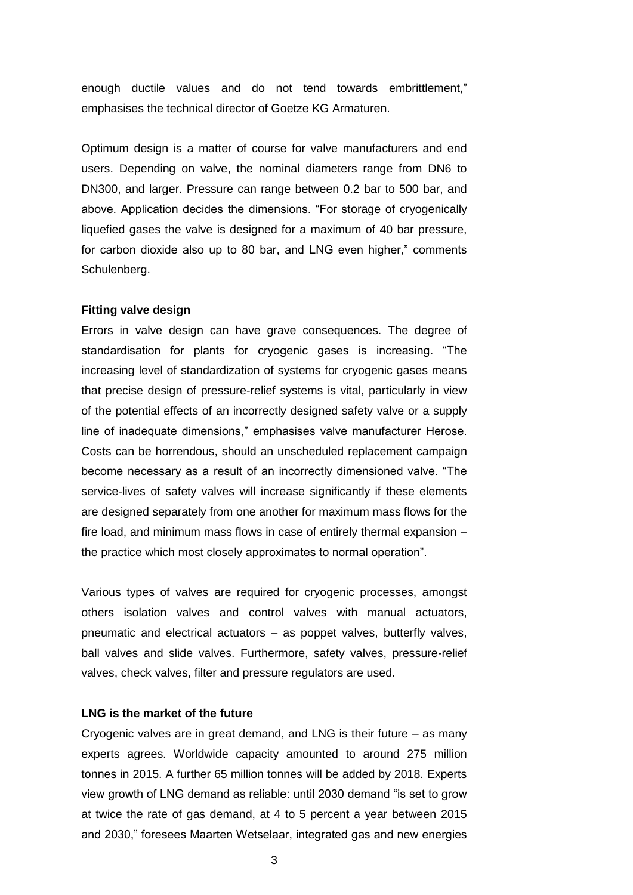enough ductile values and do not tend towards embrittlement," emphasises the technical director of Goetze KG Armaturen.

Optimum design is a matter of course for valve manufacturers and end users. Depending on valve, the nominal diameters range from DN6 to DN300, and larger. Pressure can range between 0.2 bar to 500 bar, and above. Application decides the dimensions. "For storage of cryogenically liquefied gases the valve is designed for a maximum of 40 bar pressure, for carbon dioxide also up to 80 bar, and LNG even higher," comments Schulenberg.

#### **Fitting valve design**

Errors in valve design can have grave consequences. The degree of standardisation for plants for cryogenic gases is increasing. "The increasing level of standardization of systems for cryogenic gases means that precise design of pressure-relief systems is vital, particularly in view of the potential effects of an incorrectly designed safety valve or a supply line of inadequate dimensions," emphasises valve manufacturer Herose. Costs can be horrendous, should an unscheduled replacement campaign become necessary as a result of an incorrectly dimensioned valve. "The service-lives of safety valves will increase significantly if these elements are designed separately from one another for maximum mass flows for the fire load, and minimum mass flows in case of entirely thermal expansion – the practice which most closely approximates to normal operation".

Various types of valves are required for cryogenic processes, amongst others isolation valves and control valves with manual actuators, pneumatic and electrical actuators – as poppet valves, butterfly valves, ball valves and slide valves. Furthermore, safety valves, pressure-relief valves, check valves, filter and pressure regulators are used.

### **LNG is the market of the future**

Cryogenic valves are in great demand, and LNG is their future – as many experts agrees. Worldwide capacity amounted to around 275 million tonnes in 2015. A further 65 million tonnes will be added by 2018. Experts view growth of LNG demand as reliable: until 2030 demand "is set to grow at twice the rate of gas demand, at 4 to 5 percent a year between 2015 and 2030," foresees Maarten Wetselaar, integrated gas and new energies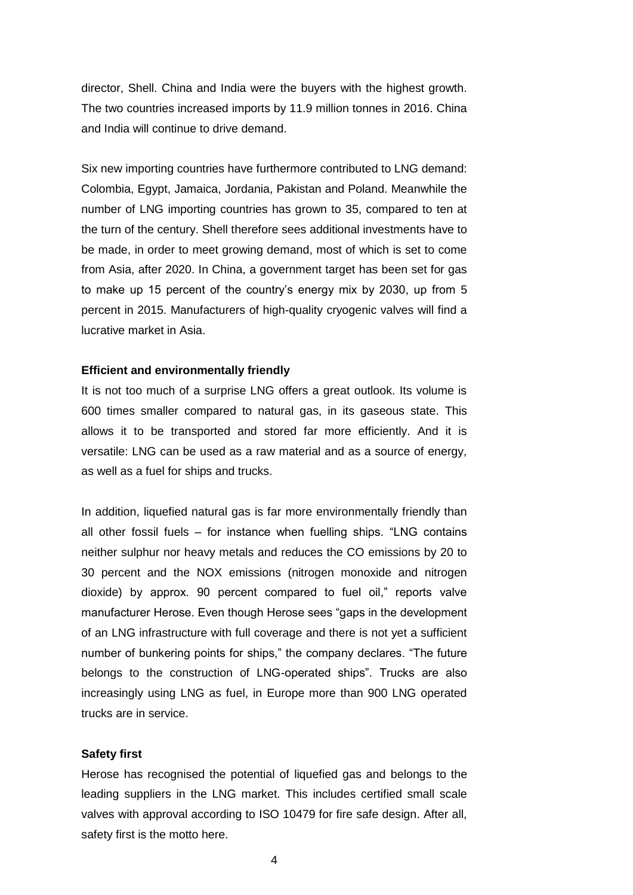director, Shell. China and India were the buyers with the highest growth. The two countries increased imports by 11.9 million tonnes in 2016. China and India will continue to drive demand.

Six new importing countries have furthermore contributed to LNG demand: Colombia, Egypt, Jamaica, Jordania, Pakistan and Poland. Meanwhile the number of LNG importing countries has grown to 35, compared to ten at the turn of the century. Shell therefore sees additional investments have to be made, in order to meet growing demand, most of which is set to come from Asia, after 2020. In China, a government target has been set for gas to make up 15 percent of the country's energy mix by 2030, up from 5 percent in 2015. Manufacturers of high-quality cryogenic valves will find a lucrative market in Asia.

# **Efficient and environmentally friendly**

It is not too much of a surprise LNG offers a great outlook. Its volume is 600 times smaller compared to natural gas, in its gaseous state. This allows it to be transported and stored far more efficiently. And it is versatile: LNG can be used as a raw material and as a source of energy, as well as a fuel for ships and trucks.

In addition, liquefied natural gas is far more environmentally friendly than all other fossil fuels – for instance when fuelling ships. "LNG contains neither sulphur nor heavy metals and reduces the CO emissions by 20 to 30 percent and the NOX emissions (nitrogen monoxide and nitrogen dioxide) by approx. 90 percent compared to fuel oil," reports valve manufacturer Herose. Even though Herose sees "gaps in the development of an LNG infrastructure with full coverage and there is not yet a sufficient number of bunkering points for ships," the company declares. "The future belongs to the construction of LNG-operated ships". Trucks are also increasingly using LNG as fuel, in Europe more than 900 LNG operated trucks are in service.

#### **Safety first**

Herose has recognised the potential of liquefied gas and belongs to the leading suppliers in the LNG market. This includes certified small scale valves with approval according to ISO 10479 for fire safe design. After all, safety first is the motto here.